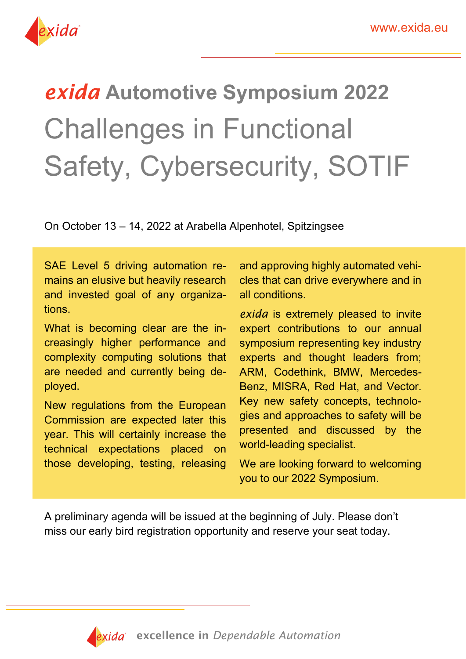

# *exida* **Automotive Symposium 2022**  Challenges in Functional Safety, Cybersecurity, SOTIF

On October 13 – 14, 2022 at Arabella Alpenhotel, Spitzingsee

SAE Level 5 driving automation remains an elusive but heavily research and invested goal of any organizations.

What is becoming clear are the increasingly higher performance and complexity computing solutions that are needed and currently being deployed.

New regulations from the European Commission are expected later this year. This will certainly increase the technical expectations placed on those developing, testing, releasing and approving highly automated vehicles that can drive everywhere and in all conditions.

**exida** is extremely pleased to invite expert contributions to our annual symposium representing key industry experts and thought leaders from; ARM, Codethink, BMW, Mercedes-Benz, MISRA, Red Hat, and Vector. Key new safety concepts, technologies and approaches to safety will be presented and discussed by the world-leading specialist.

We are looking forward to welcoming you to our 2022 Symposium.

A preliminary agenda will be issued at the beginning of July. Please don't miss our early bird registration opportunity and reserve your seat today.

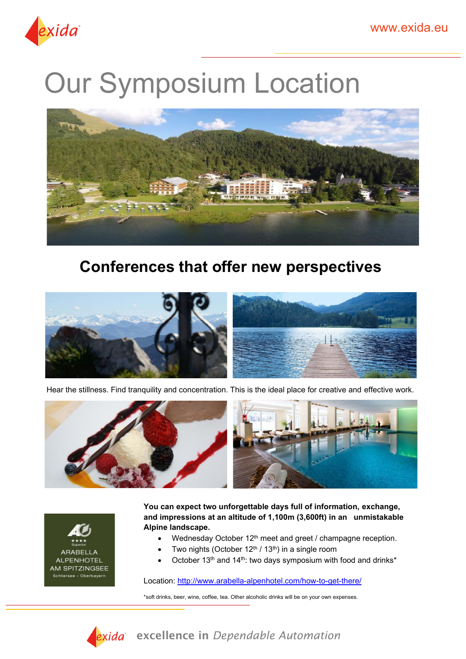

# **Our Symposium Location**



### **Conferences that offer new perspectives**



Hear the stillness. Find tranquility and concentration. This is the ideal place for creative and effective work. 





**You can expect two unforgettable days full of information, exchange, and impressions at an altitude of 1,100m (3,600ft) in an unmistakable Alpine landscape.** 

- Wednesday October 12<sup>th</sup> meet and greet / champagne reception.
- Two nights (October  $12<sup>th</sup> / 13<sup>th</sup>$ ) in a single room
- October 13<sup>th</sup> and 14<sup>th</sup>: two days symposium with food and drinks<sup>\*</sup>

Location:<http://www.arabella-alpenhotel.com/how-to-get-there/>

\*soft drinks, beer, wine, coffee, tea. Other alcoholic drinks will be on your own expenses.



excellence in *Dependable Automation*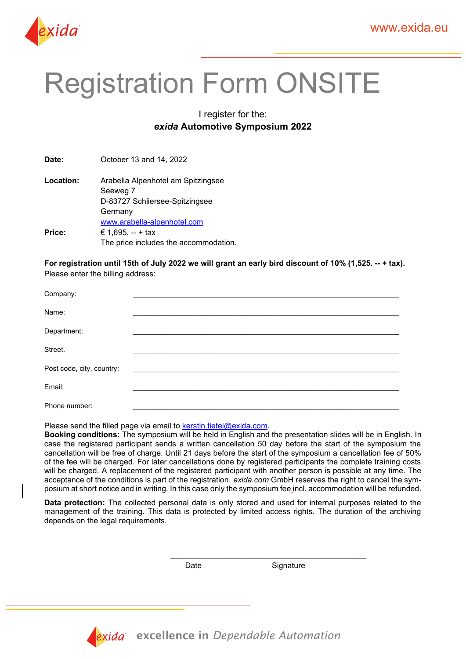

## Registration Form ONSITE

#### I register for the: *exida* **Automotive Symposium 2022**

**Date:** October 13 and 14, 2022

**Location:** Arabella Alpenhotel am Spitzingsee Seeweg 7 D-83727 Schliersee-Spitzingsee Germany [www.arabella-alpenhotel.com](http://www.arabella-alpenhotel.com/) **Price:** € 1,695. -- + tax The price includes the accommodation.

For registration until 15th of July 2022 we will grant an early bird discount of 10% (1.525. -- + tax). Please enter the billing address:

| Company:                  |  |
|---------------------------|--|
| Name:                     |  |
| Department:               |  |
| Street.                   |  |
| Post code, city, country: |  |
| Email:                    |  |
| Phone number:             |  |

Please send the filled page via email to [kerstin.tietel@exida.com.](mailto:kerstin.tietel@exida.com)

**Booking conditions:** The symposium will be held in English and the presentation slides will be in English. In case the registered participant sends a written cancellation 50 day before the start of the symposium the cancellation will be free of charge. Until 21 days before the start of the symposium a cancellation fee of 50% of the fee will be charged. For later cancellations done by registered participants the complete training costs will be charged. A replacement of the registered participant with another person is possible at any time. The acceptance of the conditions is part of the registration. *exida.com* GmbH reserves the right to cancel the symposium at short notice and in writing. In this case only the symposium fee incl. accommodation will be refunded.

**Data protection:** The collected personal data is only stored and used for internal purposes related to the management of the training. This data is protected by limited access rights. The duration of the archiving depends on the legal requirements.

\_\_\_\_\_\_\_\_\_\_\_\_\_\_\_\_\_\_\_\_\_\_\_\_\_\_\_\_\_\_\_\_\_\_\_\_\_\_\_\_\_\_\_\_\_

Date Signature



excellence in *Dependable Automation*